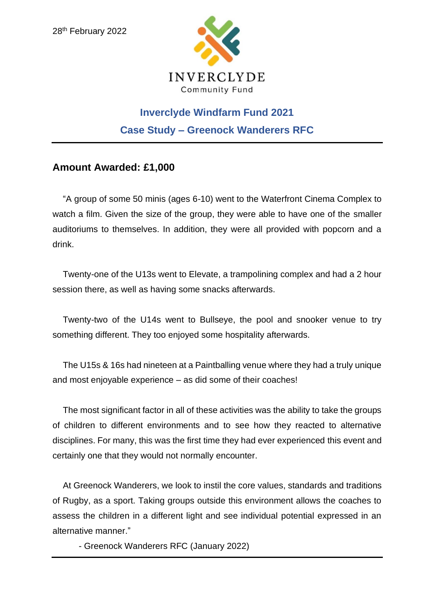

## **Inverclyde Windfarm Fund 2021 Case Study – Greenock Wanderers RFC**

## **Amount Awarded: £1,000**

"A group of some 50 minis (ages 6-10) went to the Waterfront Cinema Complex to watch a film. Given the size of the group, they were able to have one of the smaller auditoriums to themselves. In addition, they were all provided with popcorn and a drink.

Twenty-one of the U13s went to Elevate, a trampolining complex and had a 2 hour session there, as well as having some snacks afterwards.

Twenty-two of the U14s went to Bullseye, the pool and snooker venue to try something different. They too enjoyed some hospitality afterwards.

The U15s & 16s had nineteen at a Paintballing venue where they had a truly unique and most enjoyable experience – as did some of their coaches!

The most significant factor in all of these activities was the ability to take the groups of children to different environments and to see how they reacted to alternative disciplines. For many, this was the first time they had ever experienced this event and certainly one that they would not normally encounter.

At Greenock Wanderers, we look to instil the core values, standards and traditions of Rugby, as a sport. Taking groups outside this environment allows the coaches to assess the children in a different light and see individual potential expressed in an alternative manner."

- Greenock Wanderers RFC (January 2022)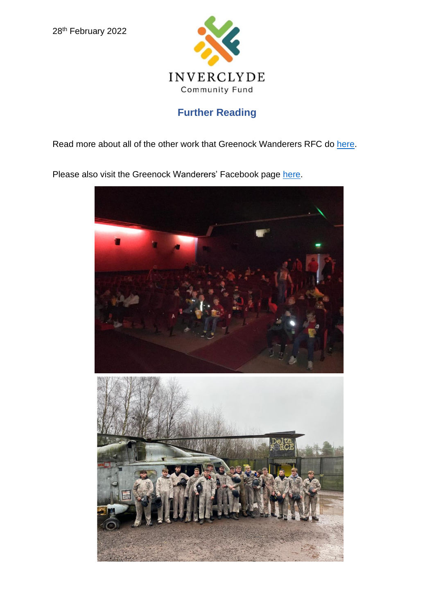

## **Further Reading**

Read more about all of the other work that Greenock Wanderers RFC do [here.](https://www.google.com/url?sa=t&rct=j&q=&esrc=s&source=web&cd=&cad=rja&uact=8&ved=2ahUKEwjIq-is9aD2AhW0SPEDHcL-DdEQFnoECAQQAQ&url=https%3A%2F%2Fwww.gwrfc.com%2F&usg=AOvVaw03LWYWbRT2rmv2A6C2SjEO)

Please also visit the Greenock Wanderers' Facebook page [here.](https://www.google.com/url?sa=t&rct=j&q=&esrc=s&source=web&cd=&cad=rja&uact=8&ved=2ahUKEwjIq-is9aD2AhW0SPEDHcL-DdEQFnoECAwQAQ&url=https%3A%2F%2Fwww.facebook.com%2FGreenockWanderersRFC%2F&usg=AOvVaw0MI4L9BRPij0yzruX57mgH)